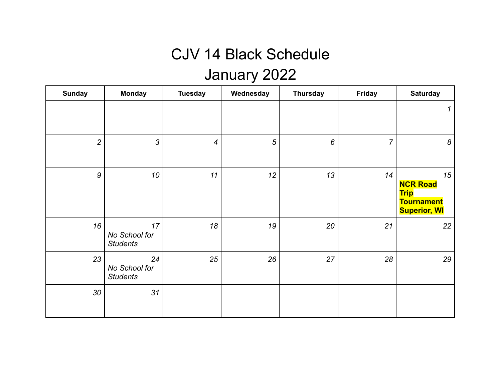### CJV 14 Black Schedule

# January 2022

| <b>Sunday</b>    | <b>Monday</b>                          | <b>Tuesday</b>   | Wednesday      | <b>Thursday</b> | <b>Friday</b>  | <b>Saturday</b>                                                                  |
|------------------|----------------------------------------|------------------|----------------|-----------------|----------------|----------------------------------------------------------------------------------|
|                  |                                        |                  |                |                 |                | 1                                                                                |
| $\overline{2}$   | 3                                      | $\boldsymbol{4}$ | $\overline{5}$ | 6               | $\overline{7}$ | 8                                                                                |
| $\boldsymbol{9}$ | 10                                     | 11               | 12             | 13              | 14             | 15<br><b>NCR Road</b><br><b>Trip</b><br><b>Tournament</b><br><b>Superior, WI</b> |
| 16               | 17<br>No School for<br><b>Students</b> | 18               | 19             | 20              | 21             | 22                                                                               |
| 23               | 24<br>No School for<br><b>Students</b> | 25               | 26             | 27              | 28             | 29                                                                               |
| 30               | 31                                     |                  |                |                 |                |                                                                                  |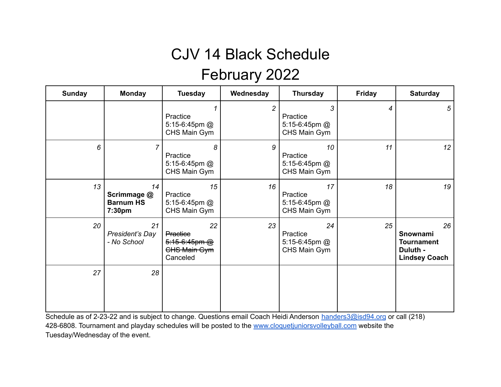# CJV 14 Black Schedule

#### February 2022

| <b>Sunday</b> | <b>Monday</b>                                   | <b>Tuesday</b>                                                          | Wednesday      | <b>Thursday</b>                                  | <b>Friday</b> | <b>Saturday</b>                                                         |
|---------------|-------------------------------------------------|-------------------------------------------------------------------------|----------------|--------------------------------------------------|---------------|-------------------------------------------------------------------------|
|               |                                                 | Practice<br>5:15-6:45pm @<br>CHS Main Gym                               | $\overline{c}$ | 3<br>Practice<br>5:15-6:45pm $@$<br>CHS Main Gym | 4             | $\sqrt{5}$                                                              |
| 6             | $\overline{7}$                                  | 8<br>Practice<br>5:15-6:45pm @<br>CHS Main Gym                          | 9              | 10<br>Practice<br>5:15-6:45pm @<br>CHS Main Gym  | 11            | 12                                                                      |
| 13            | 14<br>Scrimmage @<br><b>Barnum HS</b><br>7:30pm | 15<br>Practice<br>5:15-6:45pm @<br>CHS Main Gym                         | 16             | 17<br>Practice<br>5:15-6:45pm @<br>CHS Main Gym  | 18            | 19                                                                      |
| 20            | 21<br>President's Day<br>- No School            | 22<br>Practice<br>$5:15-6:45$ pm $@$<br><b>CHS Main Gym</b><br>Canceled | 23             | 24<br>Practice<br>5:15-6:45pm @<br>CHS Main Gym  | 25            | 26<br>Snownami<br><b>Tournament</b><br>Duluth -<br><b>Lindsey Coach</b> |
| 27            | 28                                              |                                                                         |                |                                                  |               |                                                                         |

Schedule as of 2-23-22 and is subject to change. Questions email Coach Heidi Anderson [handers3@isd94.org](mailto:handers3@isd94.org) or call (218) 428-6808. Tournament and playday schedules will be posted to the [www.cloquetjuniorsvolleyball.com](http://www.cloquetjuniorsvolleyball.com) website the Tuesday/Wednesday of the event.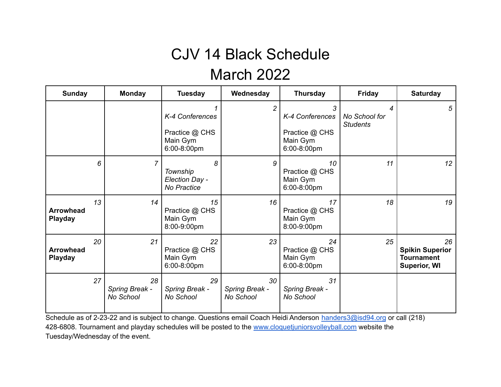### CJV 14 Black Schedule March 2022

| <b>Sunday</b>                      |    | <b>Monday</b>                     | <b>Tuesday</b>                                               | Wednesday                         | <b>Thursday</b>                                                   | <b>Friday</b>                         | <b>Saturday</b>                                                          |
|------------------------------------|----|-----------------------------------|--------------------------------------------------------------|-----------------------------------|-------------------------------------------------------------------|---------------------------------------|--------------------------------------------------------------------------|
|                                    |    |                                   | K-4 Conferences<br>Practice @ CHS<br>Main Gym<br>6:00-8:00pm | $\overline{2}$                    | 3<br>K-4 Conferences<br>Practice @ CHS<br>Main Gym<br>6:00-8:00pm | 4<br>No School for<br><b>Students</b> | 5                                                                        |
|                                    | 6  | 7                                 | 8<br>Township<br>Election Day -<br>No Practice               | 9                                 | 10<br>Practice @ CHS<br>Main Gym<br>6:00-8:00pm                   | 11                                    | 12                                                                       |
| <b>Arrowhead</b><br>Playday        | 13 | 14                                | 15<br>Practice @ CHS<br>Main Gym<br>8:00-9:00pm              | 16                                | 17<br>Practice @ CHS<br>Main Gym<br>8:00-9:00pm                   | 18                                    | 19                                                                       |
| <b>Arrowhead</b><br><b>Playday</b> | 20 | 21                                | 22<br>Practice @ CHS<br>Main Gym<br>6:00-8:00pm              | 23                                | 24<br>Practice @ CHS<br>Main Gym<br>6:00-8:00pm                   | 25                                    | 26<br><b>Spikin Superior</b><br><b>Tournament</b><br><b>Superior, WI</b> |
|                                    | 27 | 28<br>Spring Break -<br>No School | 29<br>Spring Break -<br>No School                            | 30<br>Spring Break -<br>No School | 31<br>Spring Break -<br>No School                                 |                                       |                                                                          |

Schedule as of 2-23-22 and is subject to change. Questions email Coach Heidi Anderson [handers3@isd94.org](mailto:handers3@isd94.org) or call (218) 428-6808. Tournament and playday schedules will be posted to the [www.cloquetjuniorsvolleyball.com](http://www.cloquetjuniorsvolleyball.com) website the Tuesday/Wednesday of the event.